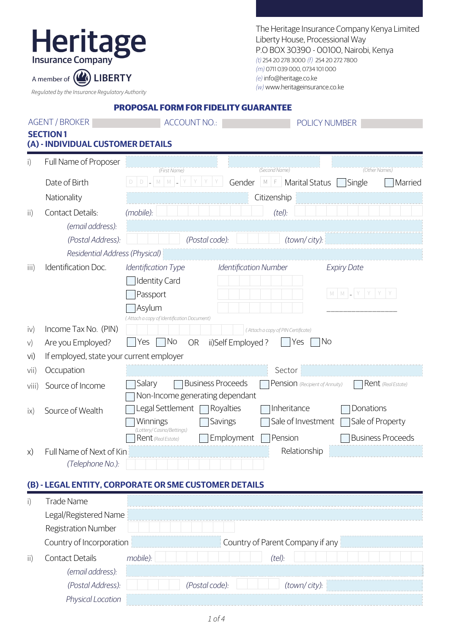## Heritage

The Heritage Insurance Company Kenya Limited Liberty House, Processional Way P.O BOX 30390 - 00100, Nairobi, Kenya (t) 254 20 278 3000 (f) 254 20 272 7800 (m) 0711 039 000, 0734 101 000 (e) info@heritage.co.ke (w) www.heritageinsurance.co.ke

Regulated by the Insurance Regulatory Authority

A member of (A) LIBERTY

| <b>PROPOSAL FORM FOR FIDELITY GUARANTEE</b> |  |  |
|---------------------------------------------|--|--|
|                                             |  |  |

| <b>AGENT / BROKER</b> |                                                      | <b>ACCOUNT NO.:</b>                                                   |                                            | POLICY NUMBER             |  |  |  |
|-----------------------|------------------------------------------------------|-----------------------------------------------------------------------|--------------------------------------------|---------------------------|--|--|--|
|                       | <b>SECTION1</b><br>(A) - INDIVIDUAL CUSTOMER DETAILS |                                                                       |                                            |                           |  |  |  |
| i)                    | Full Name of Proposer                                | (First Name)                                                          | (Second Name)                              | (Other Names)             |  |  |  |
|                       | Date of Birth                                        | $D$ $-M$ $M$ $=$<br>Y                                                 | Gender<br><b>Marital Status</b><br>$M$ $F$ | Single<br>Married         |  |  |  |
|                       | Nationality                                          |                                                                       | Citizenship                                |                           |  |  |  |
| $\mathsf{ii}$         | <b>Contact Details:</b>                              | (mobile):                                                             | (tel):                                     |                           |  |  |  |
|                       | (email address):                                     |                                                                       |                                            |                           |  |  |  |
|                       | (Postal Address):                                    | (Postal code):                                                        | (town/city):                               |                           |  |  |  |
|                       | Residential Address (Physical)                       |                                                                       |                                            |                           |  |  |  |
| iii)                  | Identification Doc.                                  | Identification Type                                                   | <b>Identification Number</b>               | <b>Expiry Date</b>        |  |  |  |
|                       |                                                      | <b>Identity Card</b>                                                  |                                            |                           |  |  |  |
|                       |                                                      | Passport                                                              |                                            | M   M   _   Y   Y   Y   Y |  |  |  |
|                       |                                                      | Asylum<br>(Attach a copy of Identification Document)                  |                                            |                           |  |  |  |
| iv)                   | Income Tax No. (PIN)                                 |                                                                       | (Attach a copy of PIN Certificate)         |                           |  |  |  |
| V)                    | Are you Employed?                                    | No<br>Yes<br><b>OR</b>                                                | No<br>ii)Self Employed?<br>Yes             |                           |  |  |  |
| vi)                   | If employed, state your current employer             |                                                                       |                                            |                           |  |  |  |
| vii)                  | Occupation                                           |                                                                       | Sector                                     |                           |  |  |  |
| viii)                 | Source of Income                                     | Salary<br><b>Business Proceeds</b><br>Non-Income generating dependant | Pension (Recipient of Annuity)             | Rent (Real Estate)        |  |  |  |
| ix)                   | Source of Wealth                                     | Legal Settlement<br>Royalties                                         | Inheritance                                | Donations                 |  |  |  |
|                       |                                                      | Winnings<br>Savings<br>(Lottery/Casino/Bettings)                      | Sale of Investment                         | Sale of Property          |  |  |  |
|                       |                                                      | Rent (Real Estate)                                                    | Employment<br>Pension                      | <b>Business Proceeds</b>  |  |  |  |
| X)                    | Full Name of Next of Kin                             |                                                                       | Relationship                               |                           |  |  |  |
|                       | (Telephone No.):                                     |                                                                       |                                            |                           |  |  |  |
|                       |                                                      | (B) - LEGAL ENTITY, CORPORATE OR SME CUSTOMER DETAILS                 |                                            |                           |  |  |  |
| i)                    | <b>Trade Name</b>                                    |                                                                       |                                            |                           |  |  |  |
|                       | Legal/Registered Name                                |                                                                       |                                            |                           |  |  |  |

| <b>Registration Number</b> |                                  |
|----------------------------|----------------------------------|
| Country of Incorporation   | Country of Parent Company if any |
| <b>Contact Details</b>     | mobile):<br>(tel):               |
| (email address):           |                                  |
| (Postal Address):          | (town/city):<br>(Postal code):   |
| Location                   |                                  |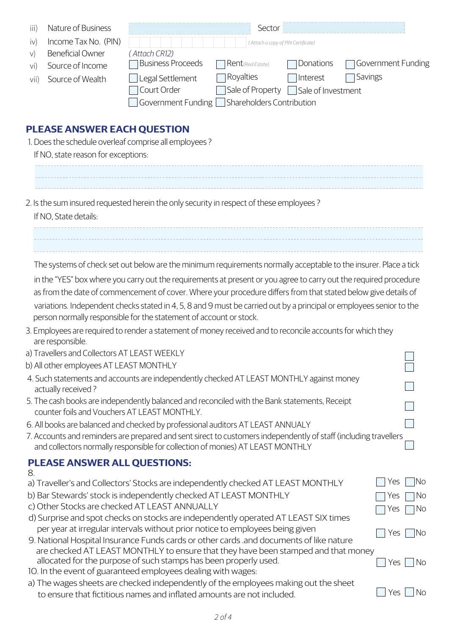| Nature of Business<br>iii)<br>Income Tax No. (PIN)<br>iv)<br><b>Beneficial Owner</b><br>V)<br>Source of Income<br>Vi)<br>Source of Wealth<br>vii)                                                                                                                                                                                                                                                                                                                                                                                                                                                                                                                   | Sector<br>(Attach a copy of PIN Certificate)<br>(Attach CR12)<br><b>Business Proceeds</b><br>Donations<br>Government Funding<br>Rent (Real Estate)<br>Royalties<br>Savings<br>Interest<br>Legal Settlement<br>Court Order<br>Sale of Property<br>Sale of Investment<br>Shareholders Contribution<br>Government Funding [                                                                                             |  |  |  |  |
|---------------------------------------------------------------------------------------------------------------------------------------------------------------------------------------------------------------------------------------------------------------------------------------------------------------------------------------------------------------------------------------------------------------------------------------------------------------------------------------------------------------------------------------------------------------------------------------------------------------------------------------------------------------------|----------------------------------------------------------------------------------------------------------------------------------------------------------------------------------------------------------------------------------------------------------------------------------------------------------------------------------------------------------------------------------------------------------------------|--|--|--|--|
| <b>PLEASE ANSWER EACH QUESTION</b><br>1. Does the schedule overleaf comprise all employees?<br>If NO, state reason for exceptions:                                                                                                                                                                                                                                                                                                                                                                                                                                                                                                                                  |                                                                                                                                                                                                                                                                                                                                                                                                                      |  |  |  |  |
| If NO, State details:                                                                                                                                                                                                                                                                                                                                                                                                                                                                                                                                                                                                                                               | 2. Is the sum insured requested herein the only security in respect of these employees?                                                                                                                                                                                                                                                                                                                              |  |  |  |  |
| The systems of check set out below are the minimum requirements normally acceptable to the insurer. Place a tick<br>in the "YES" box where you carry out the requirements at present or you agree to carry out the required procedure<br>as from the date of commencement of cover. Where your procedure differs from that stated below give details of<br>variations. Independent checks stated in 4, 5, 8 and 9 must be carried out by a principal or employees senior to the<br>person normally responsible for the statement of account or stock.<br>3. Employees are required to render a statement of money received and to reconcile accounts for which they |                                                                                                                                                                                                                                                                                                                                                                                                                      |  |  |  |  |
| are responsible.<br>a) Travellers and Collectors AT LEAST WEEKLY                                                                                                                                                                                                                                                                                                                                                                                                                                                                                                                                                                                                    |                                                                                                                                                                                                                                                                                                                                                                                                                      |  |  |  |  |
| b) All other employees AT LEAST MONTHLY<br>4. Such statements and accounts are independently checked AT LEAST MONTHLY against money<br>actually received?<br>5. The cash books are independently balanced and reconciled with the Bank statements, Receipt<br>counter foils and Vouchers AT LEAST MONTHLY.<br>6. All books are balanced and checked by professional auditors AT LEAST ANNUALY                                                                                                                                                                                                                                                                       |                                                                                                                                                                                                                                                                                                                                                                                                                      |  |  |  |  |
| 7. Accounts and reminders are prepared and sent sirect to customers independently of staff (including travellers<br>and collectors normally responsible for collection of monies) AT LEAST MONTHLY                                                                                                                                                                                                                                                                                                                                                                                                                                                                  |                                                                                                                                                                                                                                                                                                                                                                                                                      |  |  |  |  |
| <b>PLEASE ANSWER ALL QUESTIONS:</b>                                                                                                                                                                                                                                                                                                                                                                                                                                                                                                                                                                                                                                 |                                                                                                                                                                                                                                                                                                                                                                                                                      |  |  |  |  |
| 8.                                                                                                                                                                                                                                                                                                                                                                                                                                                                                                                                                                                                                                                                  | No<br>a) Traveller's and Collectors' Stocks are independently checked AT LEAST MONTHLY<br>Yes<br>b) Bar Stewards' stock is independently checked AT LEAST MONTHLY<br>No<br>Yes<br>c) Other Stocks are checked AT LEAST ANNUALLY<br>No<br>Yes<br>d) Surprise and spot checks on stocks are independently operated AT LEAST SIX times<br>per year at irregular intervals without prior notice to employees being given |  |  |  |  |
|                                                                                                                                                                                                                                                                                                                                                                                                                                                                                                                                                                                                                                                                     | No<br>Yes<br>9. National Hospital Insurance Funds cards or other cards .and documents of like nature<br>are checked AT LEAST MONTHLY to ensure that they have been stamped and that money<br>allocated for the purpose of such stamps has been properly used.<br>No<br>Yes                                                                                                                                           |  |  |  |  |

a) The wages sheets are checked independently of the employees making out the sheet to ensure that fictitious names and inflated amounts are not included.

■ Yes ■ No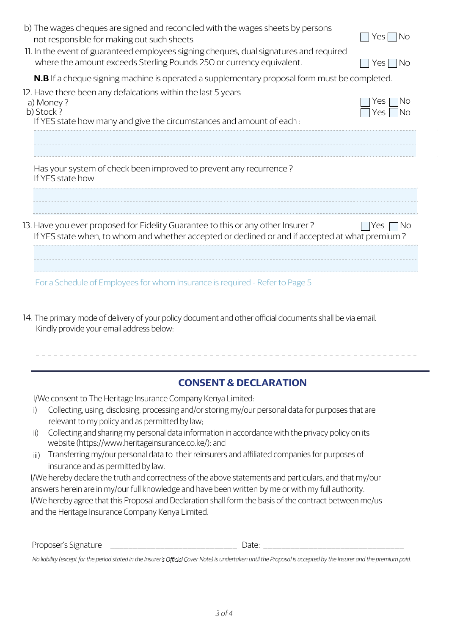| b) The wages cheques are signed and reconciled with the wages sheets by persons<br>not responsible for making out such sheets<br>11. In the event of guaranteed employees signing cheques, dual signatures and required<br>where the amount exceeds Sterling Pounds 250 or currency equivalent. | Yes<br>No.<br>No.<br>Yes |
|-------------------------------------------------------------------------------------------------------------------------------------------------------------------------------------------------------------------------------------------------------------------------------------------------|--------------------------|
| N.B If a cheque signing machine is operated a supplementary proposal form must be completed.                                                                                                                                                                                                    |                          |
| 12. Have there been any defalcations within the last 5 years<br>a) Money?<br>b) Stock?<br>If YES state how many and give the circumstances and amount of each :                                                                                                                                 | INo<br>Yes<br>INo<br>Yes |
| Has your system of check been improved to prevent any recurrence?<br>If YES state how                                                                                                                                                                                                           |                          |
|                                                                                                                                                                                                                                                                                                 |                          |
| 13. Have you ever proposed for Fidelity Guarantee to this or any other Insurer?<br>If YES state when, to whom and whether accepted or declined or and if accepted at what premium?                                                                                                              | No<br>Yes                |
| For a Schedule of Employees for whom Insurance is required - Refer to Page 5                                                                                                                                                                                                                    |                          |

Kindly provide your email address below: 14. The primary mode of delivery of your policy document and other official documents shall be via email.

## **CONSENT & DECLARATION**

I/We consent to The Heritage Insurance Company Kenya Limited:

- Collecting, using, disclosing, processing and/or storing my/our personal data for purposes that are relevant to my policy and as permitted by law; i)
- Collecting and sharing my personal data information in accordance with the privacy policy on its website (https://www.heritageinsurance.co.ke/): and ii)
- Transferring my/our personal data to their reinsurers and affiliated companies for purposes of insurance and as permitted by law. iii)

I/We hereby declare the truth and correctness of the above statements and particulars, and that my/our answers herein are in my/our full knowledge and have been written by me or with my full authority. I/We hereby agree that this Proposal and Declaration shall form the basis of the contract between me/us and the Heritage Insurance Company Kenya Limited.

| Proposer's<br>Signature<br>_____<br>____ |  | Jdle: |  |
|------------------------------------------|--|-------|--|
|------------------------------------------|--|-------|--|

*No liability (except for the period stated in the Insurer' over Note) is undertaken until the Proposal is accepted by the Insurer and the premium paid.*